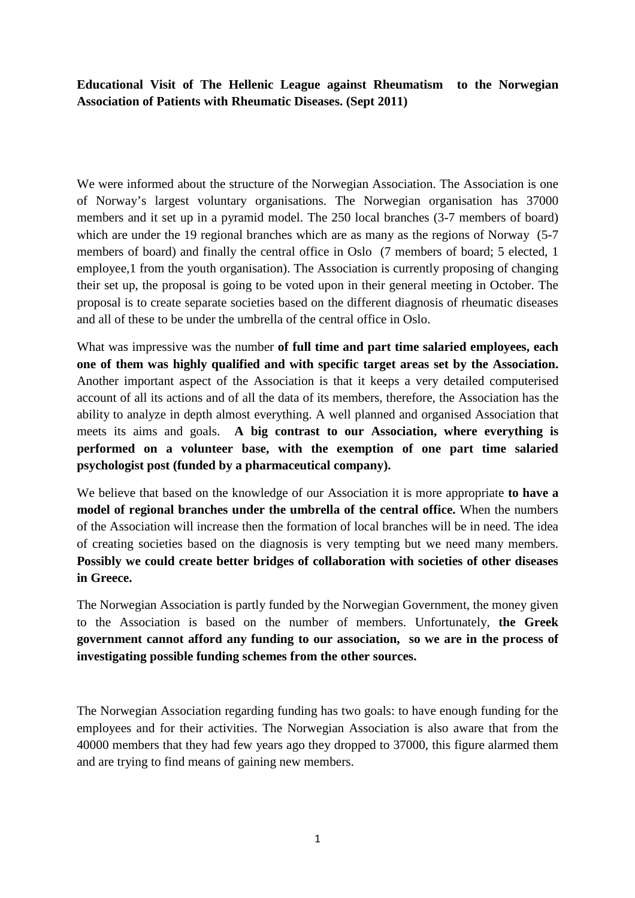**Educational Visit of The Hellenic League against Rheumatism to the Norwegian Association of Patients with Rheumatic Diseases. (Sept 2011)** 

We were informed about the structure of the Norwegian Association. The Association is one of Norway's largest voluntary organisations. The Norwegian organisation has 37000 members and it set up in a pyramid model. The 250 local branches (3-7 members of board) which are under the 19 regional branches which are as many as the regions of Norway (5-7) members of board) and finally the central office in Oslo (7 members of board; 5 elected, 1 employee,1 from the youth organisation). The Association is currently proposing of changing their set up, the proposal is going to be voted upon in their general meeting in October. The proposal is to create separate societies based on the different diagnosis of rheumatic diseases and all of these to be under the umbrella of the central office in Oslo.

What was impressive was the number **of full time and part time salaried employees, each one of them was highly qualified and with specific target areas set by the Association.**  Another important aspect of the Association is that it keeps a very detailed computerised account of all its actions and of all the data of its members, therefore, the Association has the ability to analyze in depth almost everything. A well planned and organised Association that meets its aims and goals. **A big contrast to our Association, where everything is performed on a volunteer base, with the exemption of one part time salaried psychologist post (funded by a pharmaceutical company).** 

We believe that based on the knowledge of our Association it is more appropriate **to have a model of regional branches under the umbrella of the central office.** When the numbers of the Association will increase then the formation of local branches will be in need. The idea of creating societies based on the diagnosis is very tempting but we need many members. **Possibly we could create better bridges of collaboration with societies of other diseases in Greece.** 

The Norwegian Association is partly funded by the Norwegian Government, the money given to the Association is based on the number of members. Unfortunately, **the Greek government cannot afford any funding to our association, so we are in the process of investigating possible funding schemes from the other sources.** 

The Norwegian Association regarding funding has two goals: to have enough funding for the employees and for their activities. The Norwegian Association is also aware that from the 40000 members that they had few years ago they dropped to 37000, this figure alarmed them and are trying to find means of gaining new members.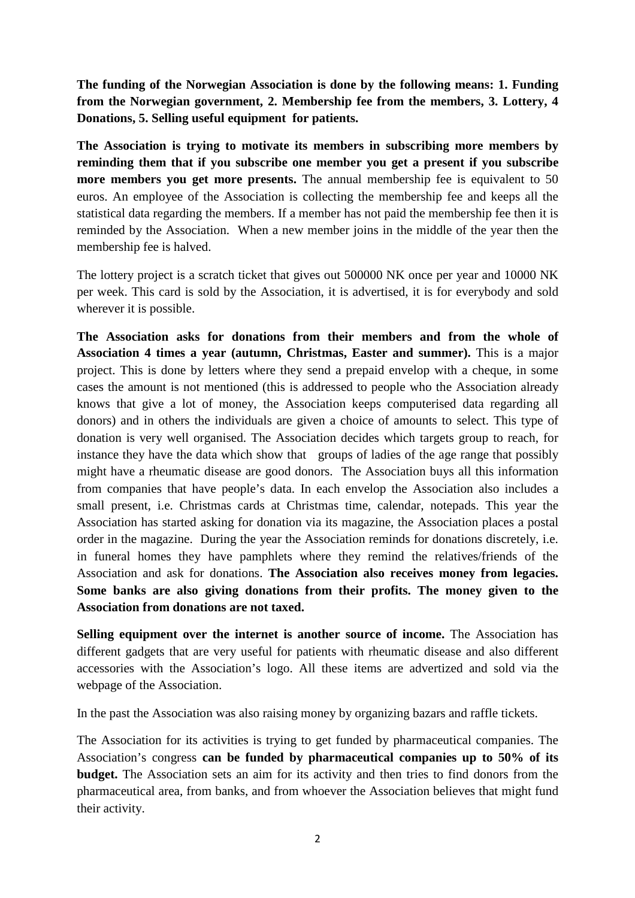**The funding of the Norwegian Association is done by the following means: 1. Funding from the Norwegian government, 2. Membership fee from the members, 3. Lottery, 4 Donations, 5. Selling useful equipment for patients.** 

**The Association is trying to motivate its members in subscribing more members by reminding them that if you subscribe one member you get a present if you subscribe more members you get more presents.** The annual membership fee is equivalent to 50 euros. An employee of the Association is collecting the membership fee and keeps all the statistical data regarding the members. If a member has not paid the membership fee then it is reminded by the Association. When a new member joins in the middle of the year then the membership fee is halved.

The lottery project is a scratch ticket that gives out 500000 NK once per year and 10000 NK per week. This card is sold by the Association, it is advertised, it is for everybody and sold wherever it is possible.

**The Association asks for donations from their members and from the whole of Association 4 times a year (autumn, Christmas, Easter and summer).** This is a major project. This is done by letters where they send a prepaid envelop with a cheque, in some cases the amount is not mentioned (this is addressed to people who the Association already knows that give a lot of money, the Association keeps computerised data regarding all donors) and in others the individuals are given a choice of amounts to select. This type of donation is very well organised. The Association decides which targets group to reach, for instance they have the data which show that groups of ladies of the age range that possibly might have a rheumatic disease are good donors. The Association buys all this information from companies that have people's data. In each envelop the Association also includes a small present, i.e. Christmas cards at Christmas time, calendar, notepads. This year the Association has started asking for donation via its magazine, the Association places a postal order in the magazine. During the year the Association reminds for donations discretely, i.e. in funeral homes they have pamphlets where they remind the relatives/friends of the Association and ask for donations. **The Association also receives money from legacies. Some banks are also giving donations from their profits. The money given to the Association from donations are not taxed.** 

**Selling equipment over the internet is another source of income.** The Association has different gadgets that are very useful for patients with rheumatic disease and also different accessories with the Association's logo. All these items are advertized and sold via the webpage of the Association.

In the past the Association was also raising money by organizing bazars and raffle tickets.

The Association for its activities is trying to get funded by pharmaceutical companies. The Association's congress **can be funded by pharmaceutical companies up to 50% of its budget.** The Association sets an aim for its activity and then tries to find donors from the pharmaceutical area, from banks, and from whoever the Association believes that might fund their activity.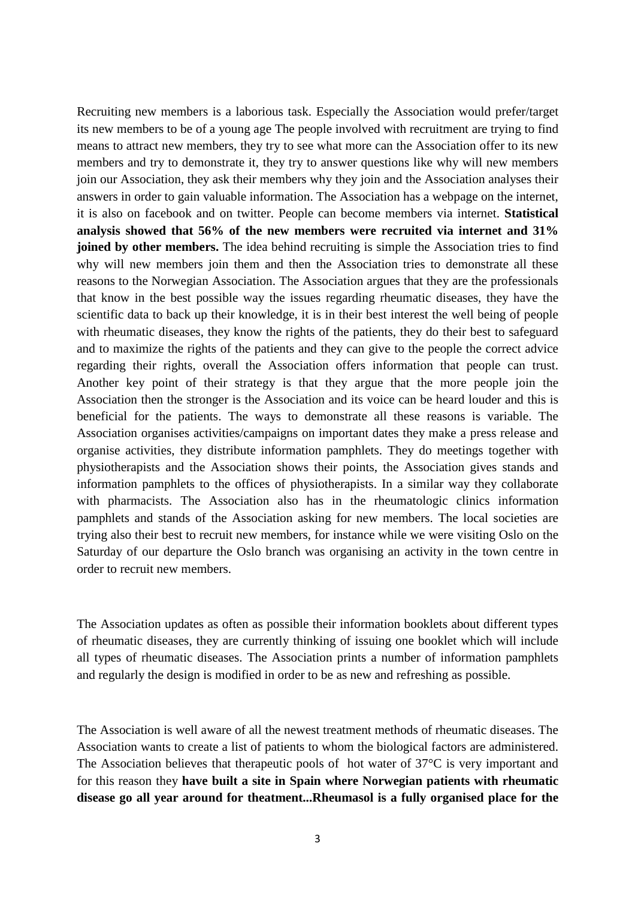Recruiting new members is a laborious task. Especially the Association would prefer/target its new members to be of a young age The people involved with recruitment are trying to find means to attract new members, they try to see what more can the Association offer to its new members and try to demonstrate it, they try to answer questions like why will new members join our Association, they ask their members why they join and the Association analyses their answers in order to gain valuable information. The Association has a webpage on the internet, it is also on facebook and on twitter. People can become members via internet. **Statistical analysis showed that 56% of the new members were recruited via internet and 31% joined by other members.** The idea behind recruiting is simple the Association tries to find why will new members join them and then the Association tries to demonstrate all these reasons to the Norwegian Association. The Association argues that they are the professionals that know in the best possible way the issues regarding rheumatic diseases, they have the scientific data to back up their knowledge, it is in their best interest the well being of people with rheumatic diseases, they know the rights of the patients, they do their best to safeguard and to maximize the rights of the patients and they can give to the people the correct advice regarding their rights, overall the Association offers information that people can trust. Another key point of their strategy is that they argue that the more people join the Association then the stronger is the Association and its voice can be heard louder and this is beneficial for the patients. The ways to demonstrate all these reasons is variable. The Association organises activities/campaigns on important dates they make a press release and organise activities, they distribute information pamphlets. They do meetings together with physiotherapists and the Association shows their points, the Association gives stands and information pamphlets to the offices of physiotherapists. In a similar way they collaborate with pharmacists. The Association also has in the rheumatologic clinics information pamphlets and stands of the Association asking for new members. The local societies are trying also their best to recruit new members, for instance while we were visiting Oslo on the Saturday of our departure the Oslo branch was organising an activity in the town centre in order to recruit new members.

The Association updates as often as possible their information booklets about different types of rheumatic diseases, they are currently thinking of issuing one booklet which will include all types of rheumatic diseases. The Association prints a number of information pamphlets and regularly the design is modified in order to be as new and refreshing as possible.

The Association is well aware of all the newest treatment methods of rheumatic diseases. The Association wants to create a list of patients to whom the biological factors are administered. The Association believes that therapeutic pools of hot water of 37°C is very important and for this reason they **have built a site in Spain where Norwegian patients with rheumatic disease go all year around for theatment...Rheumasol is a fully organised place for the**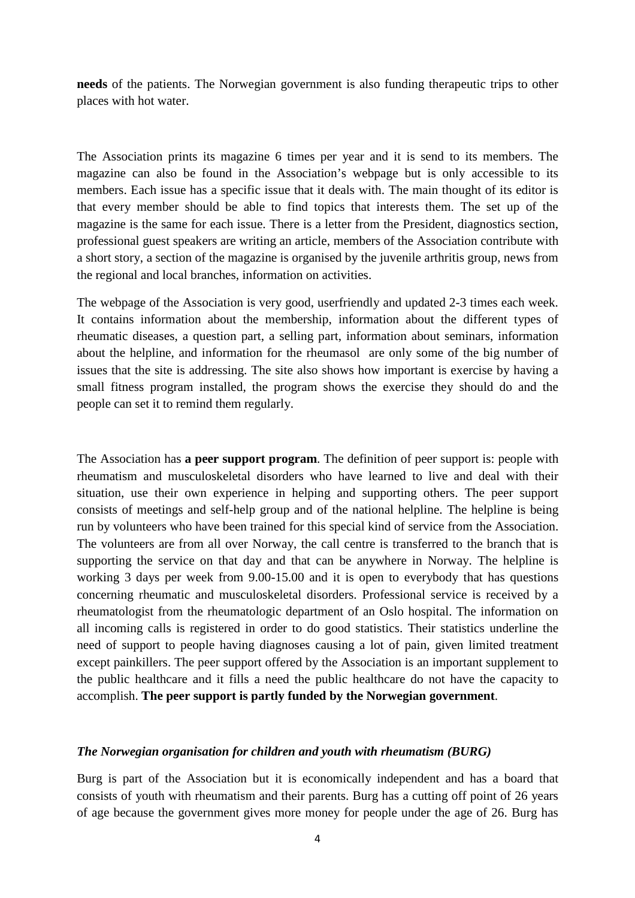**needs** of the patients. The Norwegian government is also funding therapeutic trips to other places with hot water.

The Association prints its magazine 6 times per year and it is send to its members. The magazine can also be found in the Association's webpage but is only accessible to its members. Each issue has a specific issue that it deals with. The main thought of its editor is that every member should be able to find topics that interests them. The set up of the magazine is the same for each issue. There is a letter from the President, diagnostics section, professional guest speakers are writing an article, members of the Association contribute with a short story, a section of the magazine is organised by the juvenile arthritis group, news from the regional and local branches, information on activities.

The webpage of the Association is very good, userfriendly and updated 2-3 times each week. It contains information about the membership, information about the different types of rheumatic diseases, a question part, a selling part, information about seminars, information about the helpline, and information for the rheumasol are only some of the big number of issues that the site is addressing. The site also shows how important is exercise by having a small fitness program installed, the program shows the exercise they should do and the people can set it to remind them regularly.

The Association has **a peer support program**. The definition of peer support is: people with rheumatism and musculoskeletal disorders who have learned to live and deal with their situation, use their own experience in helping and supporting others. The peer support consists of meetings and self-help group and of the national helpline. The helpline is being run by volunteers who have been trained for this special kind of service from the Association. The volunteers are from all over Norway, the call centre is transferred to the branch that is supporting the service on that day and that can be anywhere in Norway. The helpline is working 3 days per week from 9.00-15.00 and it is open to everybody that has questions concerning rheumatic and musculoskeletal disorders. Professional service is received by a rheumatologist from the rheumatologic department of an Oslo hospital. The information on all incoming calls is registered in order to do good statistics. Their statistics underline the need of support to people having diagnoses causing a lot of pain, given limited treatment except painkillers. The peer support offered by the Association is an important supplement to the public healthcare and it fills a need the public healthcare do not have the capacity to accomplish. **The peer support is partly funded by the Norwegian government**.

## *The Norwegian organisation for children and youth with rheumatism (BURG)*

Burg is part of the Association but it is economically independent and has a board that consists of youth with rheumatism and their parents. Burg has a cutting off point of 26 years of age because the government gives more money for people under the age of 26. Burg has